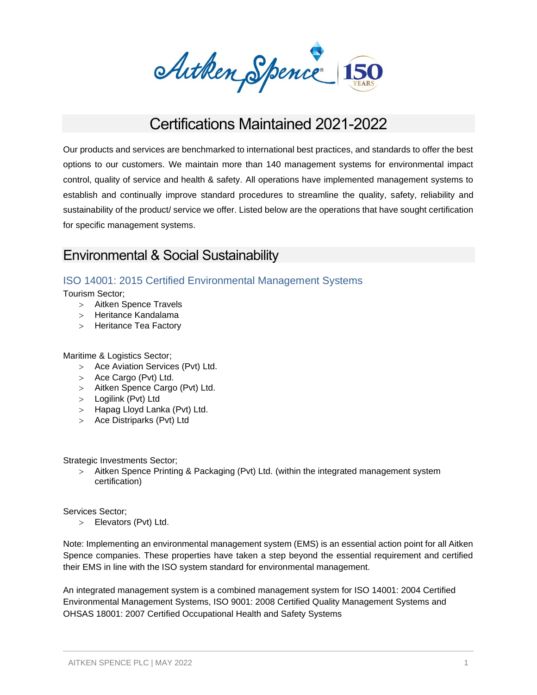Arthen Spence 150

# Certifications Maintained 2021-2022

Our products and services are benchmarked to international best practices, and standards to offer the best options to our customers. We maintain more than 140 management systems for environmental impact control, quality of service and health & safety. All operations have implemented management systems to establish and continually improve standard procedures to streamline the quality, safety, reliability and sustainability of the product/ service we offer. Listed below are the operations that have sought certification for specific management systems.

# Environmental & Social Sustainability

# ISO 14001: 2015 Certified Environmental Management Systems

Tourism Sector;

- > Aitken Spence Travels
- Heritance Kandalama
- > Heritance Tea Factory

#### Maritime & Logistics Sector;

- > Ace Aviation Services (Pvt) Ltd.
- > Ace Cargo (Pvt) Ltd.
- Aitken Spence Cargo (Pvt) Ltd.
- > Logilink (Pvt) Ltd
- > Hapag Lloyd Lanka (Pvt) Ltd.
- Ace Distriparks (Pvt) Ltd

Strategic Investments Sector;

 Aitken Spence Printing & Packaging (Pvt) Ltd. (within the integrated management system certification)

Services Sector;

Elevators (Pvt) Ltd.

Note: Implementing an environmental management system (EMS) is an essential action point for all Aitken Spence companies. These properties have taken a step beyond the essential requirement and certified their EMS in line with the ISO system standard for environmental management.

An integrated management system is a combined management system for ISO 14001: 2004 Certified Environmental Management Systems, ISO 9001: 2008 Certified Quality Management Systems and OHSAS 18001: 2007 Certified Occupational Health and Safety Systems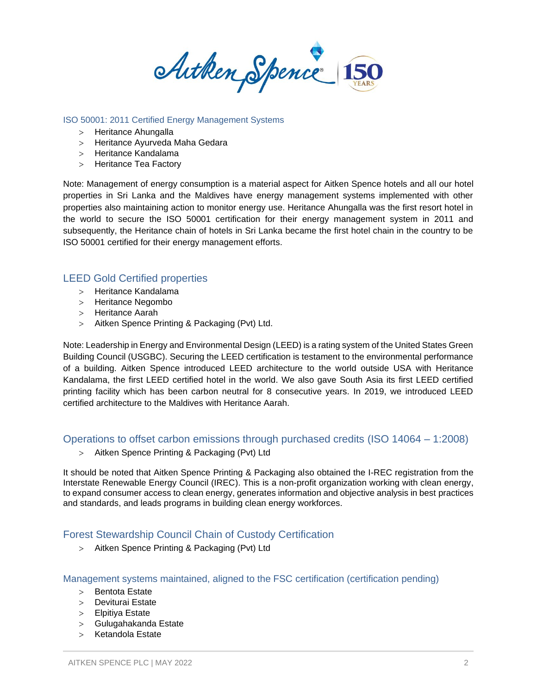Arthen Spence 150

#### ISO 50001: 2011 Certified Energy Management Systems

- > Heritance Ahungalla
- Heritance Ayurveda Maha Gedara
- Heritance Kandalama
- > Heritance Tea Factory

Note: Management of energy consumption is a material aspect for Aitken Spence hotels and all our hotel properties in Sri Lanka and the Maldives have energy management systems implemented with other properties also maintaining action to monitor energy use. Heritance Ahungalla was the first resort hotel in the world to secure the ISO 50001 certification for their energy management system in 2011 and subsequently, the Heritance chain of hotels in Sri Lanka became the first hotel chain in the country to be ISO 50001 certified for their energy management efforts.

## LEED Gold Certified properties

- > Heritance Kandalama
- > Heritance Negombo
- > Heritance Aarah
- > Aitken Spence Printing & Packaging (Pvt) Ltd.

Note: Leadership in Energy and Environmental Design (LEED) is a rating system of the United States Green Building Council (USGBC). Securing the LEED certification is testament to the environmental performance of a building. Aitken Spence introduced LEED architecture to the world outside USA with Heritance Kandalama, the first LEED certified hotel in the world. We also gave South Asia its first LEED certified printing facility which has been carbon neutral for 8 consecutive years. In 2019, we introduced LEED certified architecture to the Maldives with Heritance Aarah.

Operations to offset carbon emissions through purchased credits (ISO 14064 – 1:2008)

> Aitken Spence Printing & Packaging (Pvt) Ltd

It should be noted that Aitken Spence Printing & Packaging also obtained the I-REC registration from the Interstate Renewable Energy Council (IREC). This is a non-profit organization working with clean energy, to expand consumer access to clean energy, generates information and objective analysis in best practices and standards, and leads programs in building clean energy workforces.

## Forest Stewardship Council Chain of Custody Certification

> Aitken Spence Printing & Packaging (Pvt) Ltd

Management systems maintained, aligned to the FSC certification (certification pending)

- $>$  Bentota Estate
- Deviturai Estate
- Elpitiya Estate
- Gulugahakanda Estate
- > Ketandola Estate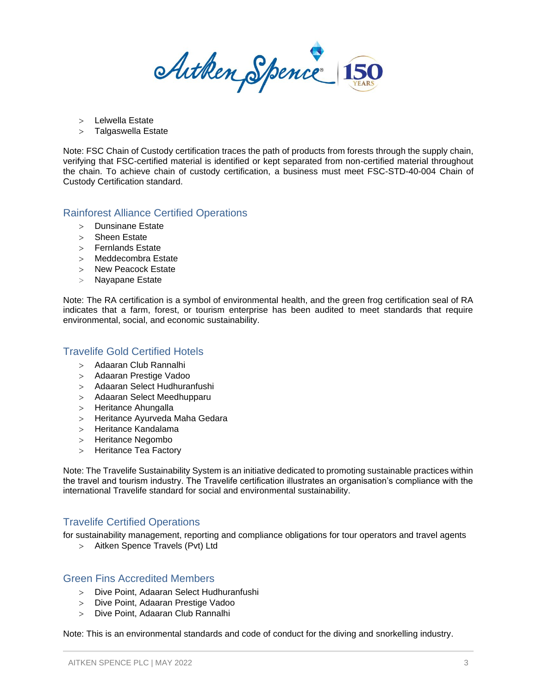Arthen Spence 150

- Lelwella Estate
- > Talgaswella Estate

Note: FSC Chain of Custody certification traces the path of products from forests through the supply chain, verifying that FSC-certified material is identified or kept separated from non-certified material throughout the chain. To achieve chain of custody certification, a business must meet FSC-STD-40-004 Chain of Custody Certification standard.

#### Rainforest Alliance Certified Operations

- > Dunsinane Estate
- > Sheen Estate
- Fernlands Estate
- Meddecombra Estate
- > New Peacock Estate
- Nayapane Estate

Note: The RA certification is a symbol of environmental health, and the green frog certification seal of RA indicates that a farm, forest, or tourism enterprise has been audited to meet standards that require environmental, social, and economic sustainability.

#### Travelife Gold Certified Hotels

- Adaaran Club Rannalhi
- Adaaran Prestige Vadoo
- Adaaran Select Hudhuranfushi
- Adaaran Select Meedhupparu
- > Heritance Ahungalla
- Heritance Ayurveda Maha Gedara
- Heritance Kandalama
- > Heritance Negombo
- > Heritance Tea Factory

Note: The Travelife Sustainability System is an initiative dedicated to promoting sustainable practices within the travel and tourism industry. The Travelife certification illustrates an organisation's compliance with the international Travelife standard for social and environmental sustainability.

#### Travelife Certified Operations

for sustainability management, reporting and compliance obligations for tour operators and travel agents

Aitken Spence Travels (Pvt) Ltd

#### Green Fins Accredited Members

- Dive Point, Adaaran Select Hudhuranfushi
- Dive Point, Adaaran Prestige Vadoo
- Dive Point, Adaaran Club Rannalhi

Note: This is an environmental standards and code of conduct for the diving and snorkelling industry.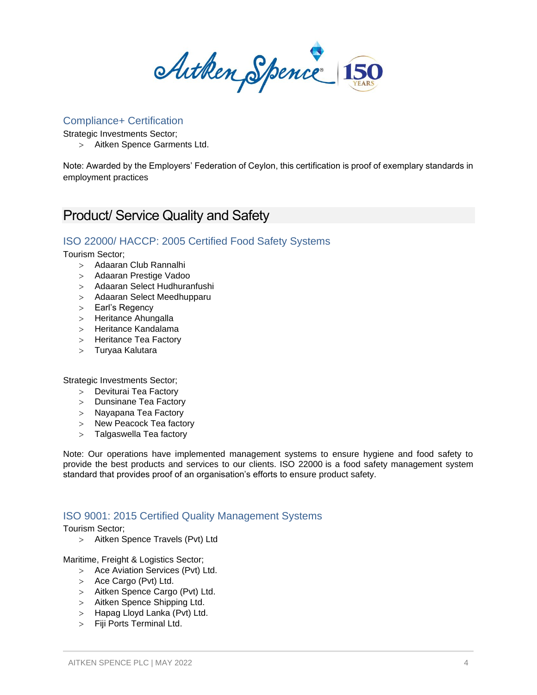Autken Spence 150

#### Compliance+ Certification

Strategic Investments Sector;

Aitken Spence Garments Ltd.

Note: Awarded by the Employers' Federation of Ceylon, this certification is proof of exemplary standards in employment practices

# Product/ Service Quality and Safety

# ISO 22000/ HACCP: 2005 Certified Food Safety Systems

Tourism Sector;

- Adaaran Club Rannalhi
- Adaaran Prestige Vadoo
- Adaaran Select Hudhuranfushi
- Adaaran Select Meedhupparu
- > Earl's Regency
- > Heritance Ahungalla
- Heritance Kandalama
- > Heritance Tea Factory
- Turyaa Kalutara

Strategic Investments Sector;

- Deviturai Tea Factory
- > Dunsinane Tea Factory
- Nayapana Tea Factory
- > New Peacock Tea factory
- > Talgaswella Tea factory

Note: Our operations have implemented management systems to ensure hygiene and food safety to provide the best products and services to our clients. ISO 22000 is a food safety management system standard that provides proof of an organisation's efforts to ensure product safety.

## ISO 9001: 2015 Certified Quality Management Systems

Tourism Sector;

> Aitken Spence Travels (Pvt) Ltd

Maritime, Freight & Logistics Sector;

- > Ace Aviation Services (Pvt) Ltd.
- > Ace Cargo (Pvt) Ltd.
- > Aitken Spence Cargo (Pvt) Ltd.
- > Aitken Spence Shipping Ltd.
- > Hapag Lloyd Lanka (Pvt) Ltd.
- Fiji Ports Terminal Ltd.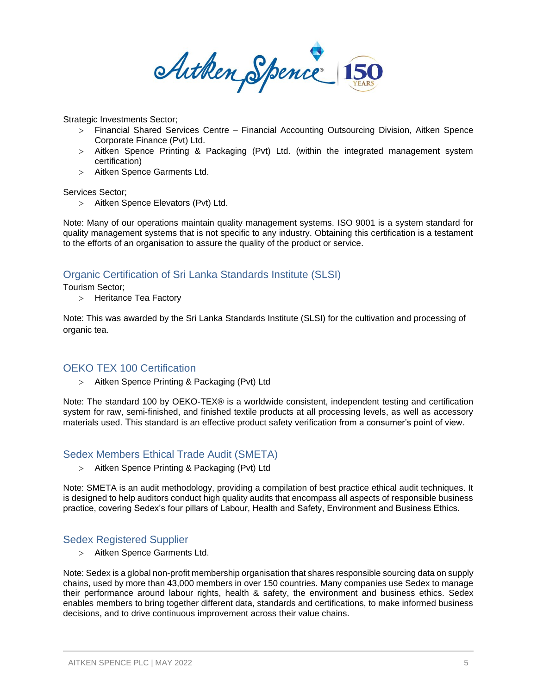Arthen Spence 150

Strategic Investments Sector;

- Financial Shared Services Centre Financial Accounting Outsourcing Division, Aitken Spence Corporate Finance (Pvt) Ltd.
- Aitken Spence Printing & Packaging (Pvt) Ltd. (within the integrated management system certification)
- Aitken Spence Garments Ltd.

Services Sector;

Aitken Spence Elevators (Pvt) Ltd.

Note: Many of our operations maintain quality management systems. ISO 9001 is a system standard for quality management systems that is not specific to any industry. Obtaining this certification is a testament to the efforts of an organisation to assure the quality of the product or service.

## Organic Certification of Sri Lanka Standards Institute (SLSI)

#### Tourism Sector;

> Heritance Tea Factory

Note: This was awarded by the Sri Lanka Standards Institute (SLSI) for the cultivation and processing of organic tea.

#### OEKO TEX 100 Certification

> Aitken Spence Printing & Packaging (Pvt) Ltd

Note: The standard 100 by OEKO-TEX® is a worldwide consistent, independent testing and certification system for raw, semi-finished, and finished textile products at all processing levels, as well as accessory materials used. This standard is an effective product safety verification from a consumer's point of view.

#### Sedex Members Ethical Trade Audit (SMETA)

Aitken Spence Printing & Packaging (Pvt) Ltd

Note: SMETA is an audit methodology, providing a compilation of best practice ethical audit techniques. It is designed to help auditors conduct high quality audits that encompass all aspects of responsible business practice, covering Sedex's four pillars of Labour, Health and Safety, Environment and Business Ethics.

## Sedex Registered Supplier

Aitken Spence Garments Ltd.

Note: Sedex is a global non-profit membership organisation that shares responsible sourcing data on supply chains, used by more than 43,000 members in over 150 countries. Many companies use Sedex to manage their performance around labour rights, health & safety, the environment and business ethics. Sedex enables members to bring together different data, standards and certifications, to make informed business decisions, and to drive continuous improvement across their value chains.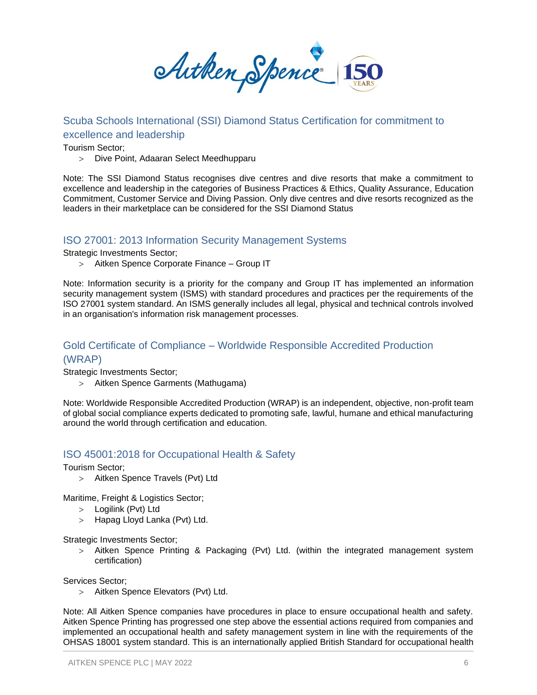Arthen Spence 150

# Scuba Schools International (SSI) Diamond Status Certification for commitment to excellence and leadership

Tourism Sector;

Dive Point, Adaaran Select Meedhupparu

Note: The SSI Diamond Status recognises dive centres and dive resorts that make a commitment to excellence and leadership in the categories of Business Practices & Ethics, Quality Assurance, Education Commitment, Customer Service and Diving Passion. Only dive centres and dive resorts recognized as the leaders in their marketplace can be considered for the SSI Diamond Status

#### ISO 27001: 2013 Information Security Management Systems

Strategic Investments Sector;

Aitken Spence Corporate Finance – Group IT

Note: Information security is a priority for the company and Group IT has implemented an information security management system (ISMS) with standard procedures and practices per the requirements of the ISO 27001 system standard. An ISMS generally includes all legal, physical and technical controls involved in an organisation's information risk management processes.

# Gold Certificate of Compliance – Worldwide Responsible Accredited Production (WRAP)

Strategic Investments Sector;

Aitken Spence Garments (Mathugama)

Note: Worldwide Responsible Accredited Production (WRAP) is an independent, objective, non-profit team of global social compliance experts dedicated to promoting safe, lawful, humane and ethical manufacturing around the world through certification and education.

## ISO 45001:2018 for Occupational Health & Safety

Tourism Sector;

> Aitken Spence Travels (Pvt) Ltd

Maritime, Freight & Logistics Sector;

- Logilink (Pvt) Ltd
- > Hapag Lloyd Lanka (Pvt) Ltd.

Strategic Investments Sector;

> Aitken Spence Printing & Packaging (Pvt) Ltd. (within the integrated management system certification)

Services Sector;

> Aitken Spence Elevators (Pvt) Ltd.

Note: All Aitken Spence companies have procedures in place to ensure occupational health and safety. Aitken Spence Printing has progressed one step above the essential actions required from companies and implemented an occupational health and safety management system in line with the requirements of the OHSAS 18001 system standard. This is an internationally applied British Standard for occupational health